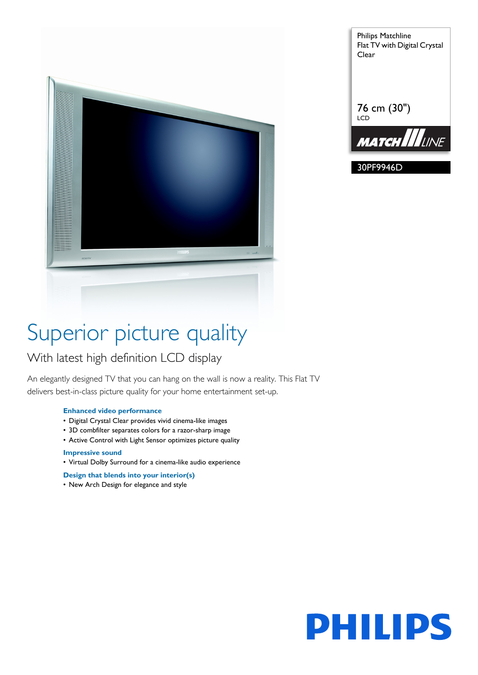

Philips Matchline Flat TV with Digital Crystal Clear 76 cm (30") LCD **MATCH LLINE** 

30PF9946D

# Superior picture quality

### With latest high definition LCD display

An elegantly designed TV that you can hang on the wall is now a reality. This Flat TV delivers best-in-class picture quality for your home entertainment set-up.

#### **Enhanced video performance**

- Digital Crystal Clear provides vivid cinema-like images
- 3D combfilter separates colors for a razor-sharp image
- Active Control with Light Sensor optimizes picture quality

#### **Impressive sound**

• Virtual Dolby Surround for a cinema-like audio experience

#### **Design that blends into your interior(s)**

• New Arch Design for elegance and style